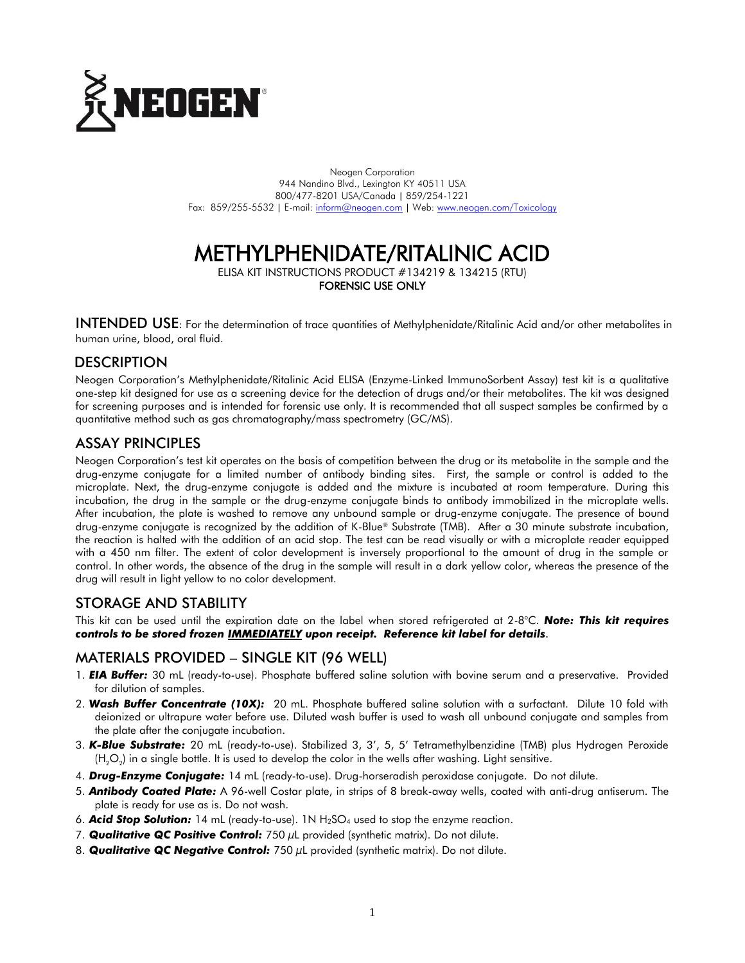

Neogen Corporation 944 Nandino Blvd., Lexington KY 40511 USA 800/477-8201 USA/Canada | 859/254-1221 Fax: 859/255-5532 | E-mail[: inform@neogen.com](mailto:inform@neogen.com) | Web[: www.neogen.com/Toxicology](http://www.neogen.com/Toxicology)

# METHYLPHENIDATE/RITALINIC ACID

ELISA KIT INSTRUCTIONS PRODUCT #134219 & 134215 (RTU) FORENSIC USE ONLY

INTENDED USE: For the determination of trace quantities of Methylphenidate/Ritalinic Acid and/or other metabolites in human urine, blood, oral fluid.

#### **DESCRIPTION**

Neogen Corporation's Methylphenidate/Ritalinic Acid ELISA (Enzyme-Linked ImmunoSorbent Assay) test kit is a qualitative one-step kit designed for use as a screening device for the detection of drugs and/or their metabolites. The kit was designed for screening purposes and is intended for forensic use only. It is recommended that all suspect samples be confirmed by a quantitative method such as gas chromatography/mass spectrometry (GC/MS).

## ASSAY PRINCIPLES

Neogen Corporation's test kit operates on the basis of competition between the drug or its metabolite in the sample and the drug-enzyme conjugate for a limited number of antibody binding sites. First, the sample or control is added to the microplate. Next, the drug-enzyme conjugate is added and the mixture is incubated at room temperature. During this incubation, the drug in the sample or the drug-enzyme conjugate binds to antibody immobilized in the microplate wells. After incubation, the plate is washed to remove any unbound sample or drug-enzyme conjugate. The presence of bound drug-enzyme conjugate is recognized by the addition of K-Blue® Substrate (TMB). After a 30 minute substrate incubation, the reaction is halted with the addition of an acid stop. The test can be read visually or with a microplate reader equipped with a 450 nm filter. The extent of color development is inversely proportional to the amount of drug in the sample or control. In other words, the absence of the drug in the sample will result in a dark yellow color, whereas the presence of the drug will result in light yellow to no color development.

## STORAGE AND STABILITY

This kit can be used until the expiration date on the label when stored refrigerated at 2-8°C. *Note: This kit requires controls to be stored frozen IMMEDIATELY upon receipt. Reference kit label for details*.

#### MATERIALS PROVIDED – SINGLE KIT (96 WELL)

- 1. *EIA Buffer:* 30 mL (ready-to-use). Phosphate buffered saline solution with bovine serum and a preservative. Provided for dilution of samples.
- 2. *Wash Buffer Concentrate (10X):* 20 mL. Phosphate buffered saline solution with a surfactant. Dilute 10 fold with deionized or ultrapure water before use. Diluted wash buffer is used to wash all unbound conjugate and samples from the plate after the conjugate incubation.
- 3. *K-Blue Substrate:* 20 mL (ready-to-use). Stabilized 3, 3', 5, 5' Tetramethylbenzidine (TMB) plus Hydrogen Peroxide (H<sub>2</sub>O<sub>2</sub>) in a single bottle. It is used to develop the color in the wells after washing. Light sensitive.
- 4. *Drug-Enzyme Conjugate:* 14 mL (ready-to-use). Drug-horseradish peroxidase conjugate. Do not dilute.
- 5. *Antibody Coated Plate:* A 96-well Costar plate, in strips of 8 break-away wells, coated with anti-drug antiserum. The plate is ready for use as is. Do not wash.
- 6. *Acid Stop Solution:* 14 mL (ready-to-use). 1N H2SO<sup>4</sup> used to stop the enzyme reaction.
- 7. *Qualitative QC Positive Control:* 750 µL provided (synthetic matrix). Do not dilute.
- 8. **Qualitative QC Negative Control:** 750 µL provided (synthetic matrix). Do not dilute.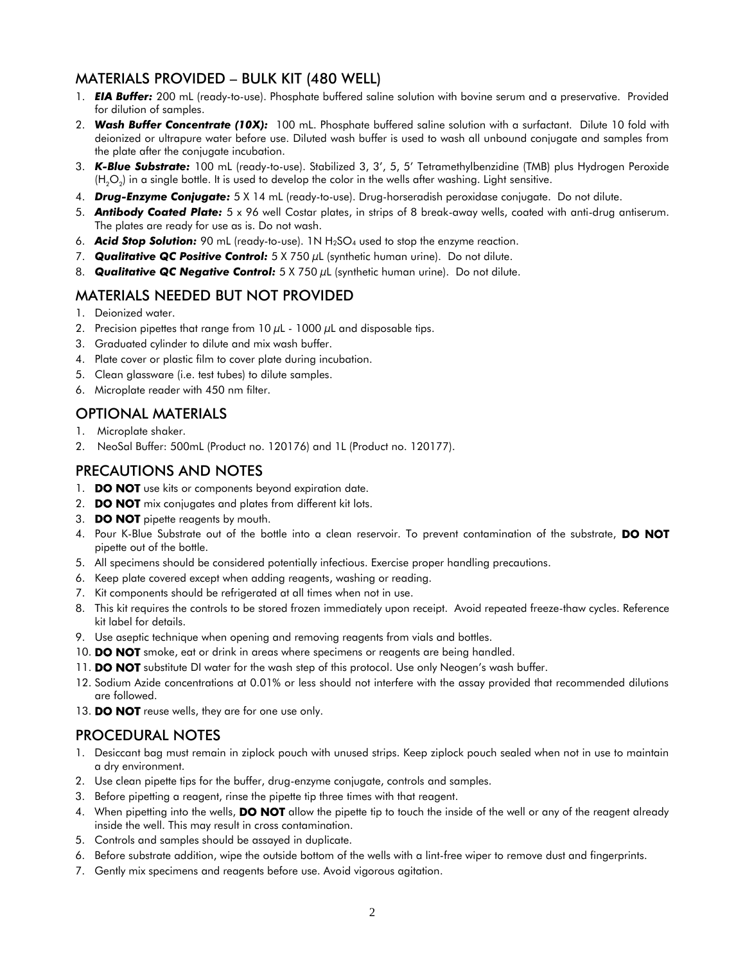## MATERIALS PROVIDED – BULK KIT (480 WELL)

- 1. *EIA Buffer:* 200 mL (ready-to-use). Phosphate buffered saline solution with bovine serum and a preservative. Provided for dilution of samples.
- 2. *Wash Buffer Concentrate (10X):* 100 mL. Phosphate buffered saline solution with a surfactant. Dilute 10 fold with deionized or ultrapure water before use. Diluted wash buffer is used to wash all unbound conjugate and samples from the plate after the conjugate incubation.
- 3. *K-Blue Substrate:* 100 mL (ready-to-use). Stabilized 3, 3', 5, 5' Tetramethylbenzidine (TMB) plus Hydrogen Peroxide (H<sub>2</sub>O<sub>2</sub>) in a single bottle. It is used to develop the color in the wells after washing. Light sensitive.
- 4. *Drug-Enzyme Conjugate:* 5 X 14 mL (ready-to-use). Drug-horseradish peroxidase conjugate. Do not dilute.
- 5. *Antibody Coated Plate:* 5 x 96 well Costar plates, in strips of 8 break-away wells, coated with anti-drug antiserum. The plates are ready for use as is. Do not wash.
- 6. **Acid Stop Solution:** 90 mL (ready-to-use). 1N H<sub>2</sub>SO<sub>4</sub> used to stop the enzyme reaction.
- 7. *Qualitative QC Positive Control:* 5 X 750 µL (synthetic human urine). Do not dilute.
- 8. *Qualitative QC Negative Control:* 5 X 750 µL (synthetic human urine). Do not dilute.

## MATERIALS NEEDED BUT NOT PROVIDED

- 1. Deionized water.
- 2. Precision pipettes that range from  $10 \mu L$   $1000 \mu L$  and disposable tips.
- 3. Graduated cylinder to dilute and mix wash buffer.
- 4. Plate cover or plastic film to cover plate during incubation.
- 5. Clean glassware (i.e. test tubes) to dilute samples.
- 6. Microplate reader with 450 nm filter.

# OPTIONAL MATERIALS

- 1. Microplate shaker.
- 2. NeoSal Buffer: 500mL (Product no. 120176) and 1L (Product no. 120177).

## PRECAUTIONS AND NOTES

- 1. DO NOT use kits or components beyond expiration date.
- 2. **DO NOT** mix conjugates and plates from different kit lots.
- 3. **DO NOT** pipette reagents by mouth.
- 4. Pour K-Blue Substrate out of the bottle into a clean reservoir. To prevent contamination of the substrate, DO NOT pipette out of the bottle.
- 5. All specimens should be considered potentially infectious. Exercise proper handling precautions.
- 6. Keep plate covered except when adding reagents, washing or reading.
- 7. Kit components should be refrigerated at all times when not in use.
- 8. This kit requires the controls to be stored frozen immediately upon receipt. Avoid repeated freeze-thaw cycles. Reference kit label for details.
- 9. Use aseptic technique when opening and removing reagents from vials and bottles.
- 10. DO NOT smoke, eat or drink in areas where specimens or reagents are being handled.
- 11. **DO NOT** substitute DI water for the wash step of this protocol. Use only Neogen's wash buffer.
- 12. Sodium Azide concentrations at 0.01% or less should not interfere with the assay provided that recommended dilutions are followed.
- 13. DO NOT reuse wells, they are for one use only.

## PROCEDURAL NOTES

- 1. Desiccant bag must remain in ziplock pouch with unused strips. Keep ziplock pouch sealed when not in use to maintain a dry environment.
- 2. Use clean pipette tips for the buffer, drug-enzyme conjugate, controls and samples.
- 3. Before pipetting a reagent, rinse the pipette tip three times with that reagent.
- 4. When pipetting into the wells, **DO NOT** allow the pipette tip to touch the inside of the well or any of the reagent already inside the well. This may result in cross contamination.
- 5. Controls and samples should be assayed in duplicate.
- 6. Before substrate addition, wipe the outside bottom of the wells with a lint-free wiper to remove dust and fingerprints.
- 7. Gently mix specimens and reagents before use. Avoid vigorous agitation.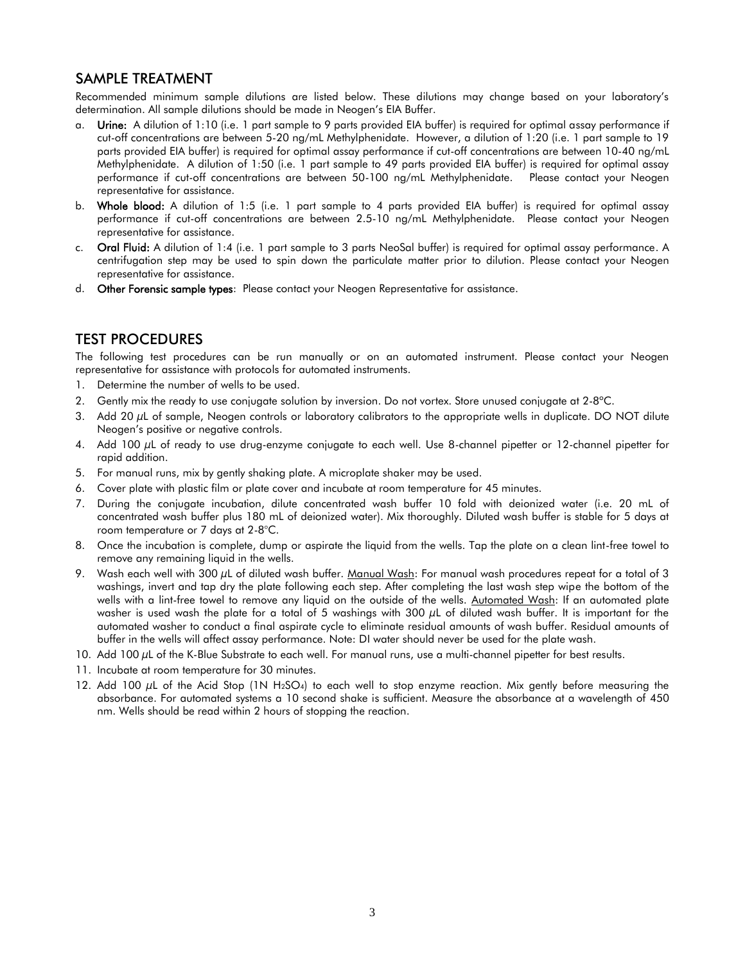## SAMPLE TREATMENT

Recommended minimum sample dilutions are listed below. These dilutions may change based on your laboratory's determination. All sample dilutions should be made in Neogen's EIA Buffer.

- a. Urine: A dilution of 1:10 (i.e. 1 part sample to 9 parts provided EIA buffer) is required for optimal assay performance if cut-off concentrations are between 5-20 ng/mL Methylphenidate. However, a dilution of 1:20 (i.e. 1 part sample to 19 parts provided EIA buffer) is required for optimal assay performance if cut-off concentrations are between 10-40 ng/mL Methylphenidate. A dilution of 1:50 (i.e. 1 part sample to 49 parts provided EIA buffer) is required for optimal assay performance if cut-off concentrations are between 50-100 ng/mL Methylphenidate. Please contact your Neogen representative for assistance.
- b. Whole blood: A dilution of 1:5 (i.e. 1 part sample to 4 parts provided EIA buffer) is required for optimal assay performance if cut-off concentrations are between 2.5-10 ng/mL Methylphenidate. Please contact your Neogen representative for assistance.
- c. Oral Fluid: A dilution of 1:4 (i.e. 1 part sample to 3 parts NeoSal buffer) is required for optimal assay performance. A centrifugation step may be used to spin down the particulate matter prior to dilution. Please contact your Neogen representative for assistance.
- d. Other Forensic sample types: Please contact your Neogen Representative for assistance.

#### TEST PROCEDURES

The following test procedures can be run manually or on an automated instrument. Please contact your Neogen representative for assistance with protocols for automated instruments.

- 1. Determine the number of wells to be used.
- 2. Gently mix the ready to use conjugate solution by inversion. Do not vortex. Store unused conjugate at 2-8°C.
- 3. Add 20  $\mu$ L of sample, Neogen controls or laboratory calibrators to the appropriate wells in duplicate. DO NOT dilute Neogen's positive or negative controls.
- 4. Add 100 µL of ready to use drug-enzyme conjugate to each well. Use 8-channel pipetter or 12-channel pipetter for rapid addition.
- 5. For manual runs, mix by gently shaking plate. A microplate shaker may be used.
- 6. Cover plate with plastic film or plate cover and incubate at room temperature for 45 minutes.
- 7. During the conjugate incubation, dilute concentrated wash buffer 10 fold with deionized water (i.e. 20 mL of concentrated wash buffer plus 180 mL of deionized water). Mix thoroughly. Diluted wash buffer is stable for 5 days at room temperature or 7 days at 2-8°C.
- 8. Once the incubation is complete, dump or aspirate the liquid from the wells. Tap the plate on a clean lint-free towel to remove any remaining liquid in the wells.
- 9. Wash each well with 300 µL of diluted wash buffer. Manual Wash: For manual wash procedures repeat for a total of 3 washings, invert and tap dry the plate following each step. After completing the last wash step wipe the bottom of the wells with a lint-free towel to remove any liquid on the outside of the wells. Automated Wash: If an automated plate washer is used wash the plate for a total of 5 washings with 300  $\mu$ L of diluted wash buffer. It is important for the automated washer to conduct a final aspirate cycle to eliminate residual amounts of wash buffer. Residual amounts of buffer in the wells will affect assay performance. Note: DI water should never be used for the plate wash.
- 10. Add 100 µL of the K-Blue Substrate to each well. For manual runs, use a multi-channel pipetter for best results.
- 11. Incubate at room temperature for 30 minutes.
- 12. Add 100 µL of the Acid Stop (1N H<sub>2</sub>SO<sub>4</sub>) to each well to stop enzyme reaction. Mix gently before measuring the absorbance. For automated systems a 10 second shake is sufficient. Measure the absorbance at a wavelength of 450 nm. Wells should be read within 2 hours of stopping the reaction.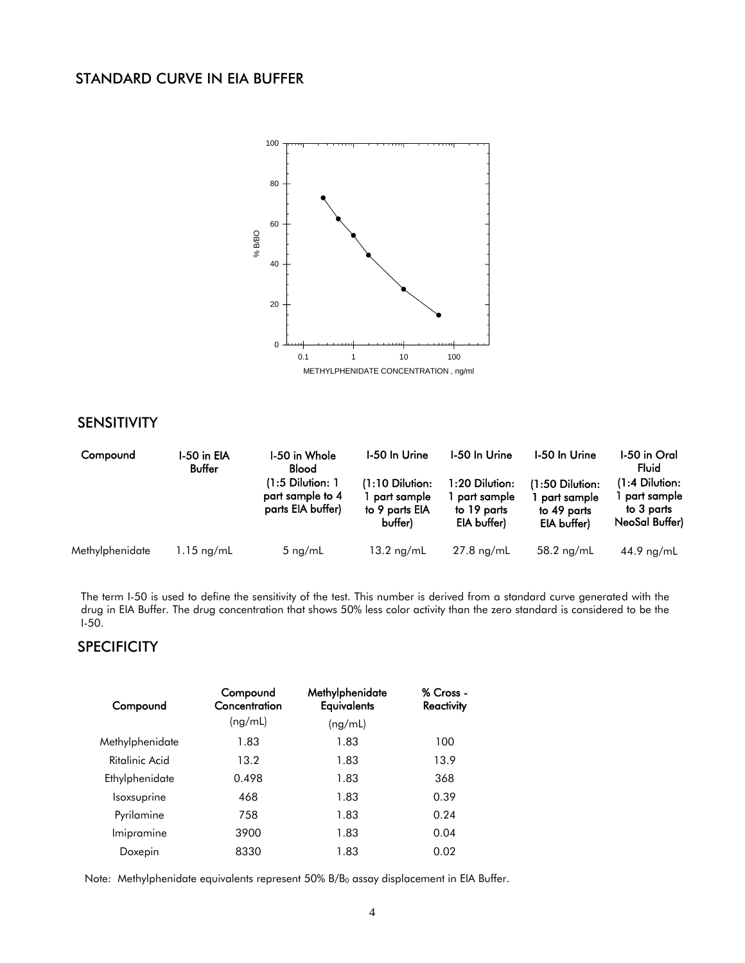## STANDARD CURVE IN EIA BUFFER



## SENSITIVITY

| Compound        | I-50 in EIA<br>Buffer | I-50 in Whole<br><b>Blood</b><br>$(1:5$ Dilution: 1<br>part sample to 4<br>parts EIA buffer) | <b>I-50 In Urine</b><br>$(1:10$ Dilution:<br>1 part sample<br>to 9 parts EIA<br>buffer) | I-50 In Urine<br>1:20 Dilution:<br>part sample<br>to 19 parts<br>EIA buffer) | I-50 In Urine<br>(1:50 Dilution:<br>part sample<br>to 49 parts<br>EIA buffer) | I-50 in Oral<br>Fluid<br>1:4 Dilution:<br>part sample<br>to 3 parts<br>NeoSal Buffer) |
|-----------------|-----------------------|----------------------------------------------------------------------------------------------|-----------------------------------------------------------------------------------------|------------------------------------------------------------------------------|-------------------------------------------------------------------------------|---------------------------------------------------------------------------------------|
| Methylphenidate | $1.15 \text{ ng/mL}$  | 5 $ng/mL$                                                                                    | $13.2$ ng/mL                                                                            | $27.8$ ng/mL                                                                 | $58.2$ ng/mL                                                                  | $44.9$ ng/mL                                                                          |

The term I-50 is used to define the sensitivity of the test. This number is derived from a standard curve generated with the drug in EIA Buffer. The drug concentration that shows 50% less color activity than the zero standard is considered to be the I-50.

## **SPECIFICITY**

| Compound        | Compound<br>Concentration | Methylphenidate<br><b>Equivalents</b> | % Cross -<br><b>Reactivity</b> |
|-----------------|---------------------------|---------------------------------------|--------------------------------|
|                 | (ng/mL)                   | (ng/mL)                               |                                |
| Methylphenidate | 1.83                      | 1.83                                  | 100                            |
| Ritalinic Acid  | 13.2                      | 1.83                                  | 13.9                           |
| Ethylphenidate  | 0.498                     | 1.83                                  | 368                            |
| Isoxsuprine     | 468                       | 1.83                                  | 0.39                           |
| Pyrilamine      | 758                       | 1.83                                  | 0.24                           |
| Imipramine      | 3900                      | 1.83                                  | 0.04                           |
| Doxepin         | 8330                      | 1.83                                  | 0.02                           |

Note: Methylphenidate equivalents represent 50% B/B<sub>0</sub> assay displacement in EIA Buffer.